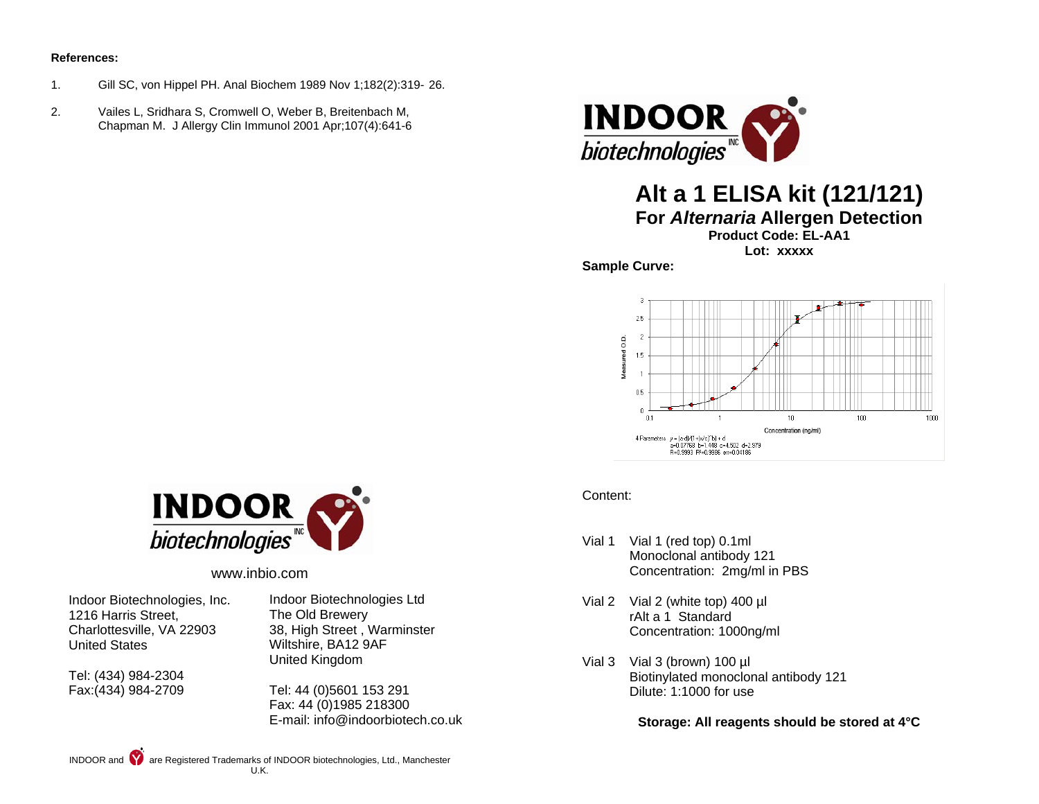#### **References:**

- 1. Gill SC, von Hippel PH. Anal Biochem 1989 Nov 1;182(2):319- 26.
- 2. Vailes L, Sridhara S, Cromwell O, Weber B, Breitenbach M, Chapman M. J Allergy Clin Immunol 2001 Apr;107(4):641-6



# **Alt a 1 ELISA kit (121/121)**

**For** *Alternaria* **Allergen Detection**

**Product Code: EL-AA1** 

**Lot: xxxxx** 

**Sample Curve:** 





www.inbio.com

Indoor Biotechnologies, Inc. 1216 Harris Street, Charlottesville, VA 22903 United States

Tel: (434) 984-2304 Fax:(434) 984-2709 Indoor Biotechnologies Ltd The Old Brewery 38, High Street , Warminster Wiltshire, BA12 9AF United Kingdom

Tel: 44 (0)5601 153 291 Fax: 44 (0)1985 218300 E-mail: info@indoorbiotech.co.uk

### Content:

- Vial 1 Vial 1 (red top) 0.1ml Monoclonal antibody 121 Concentration: 2mg/ml in PBS
- Vial 2 Vial 2 (white top) 400 µl rAlt a 1 Standard Concentration: 1000ng/ml
- Vial 3 Vial 3 (brown) 100 µl Biotinylated monoclonal antibody 121 Dilute: 1:1000 for use

**Storage: All reagents should be stored at 4°C**